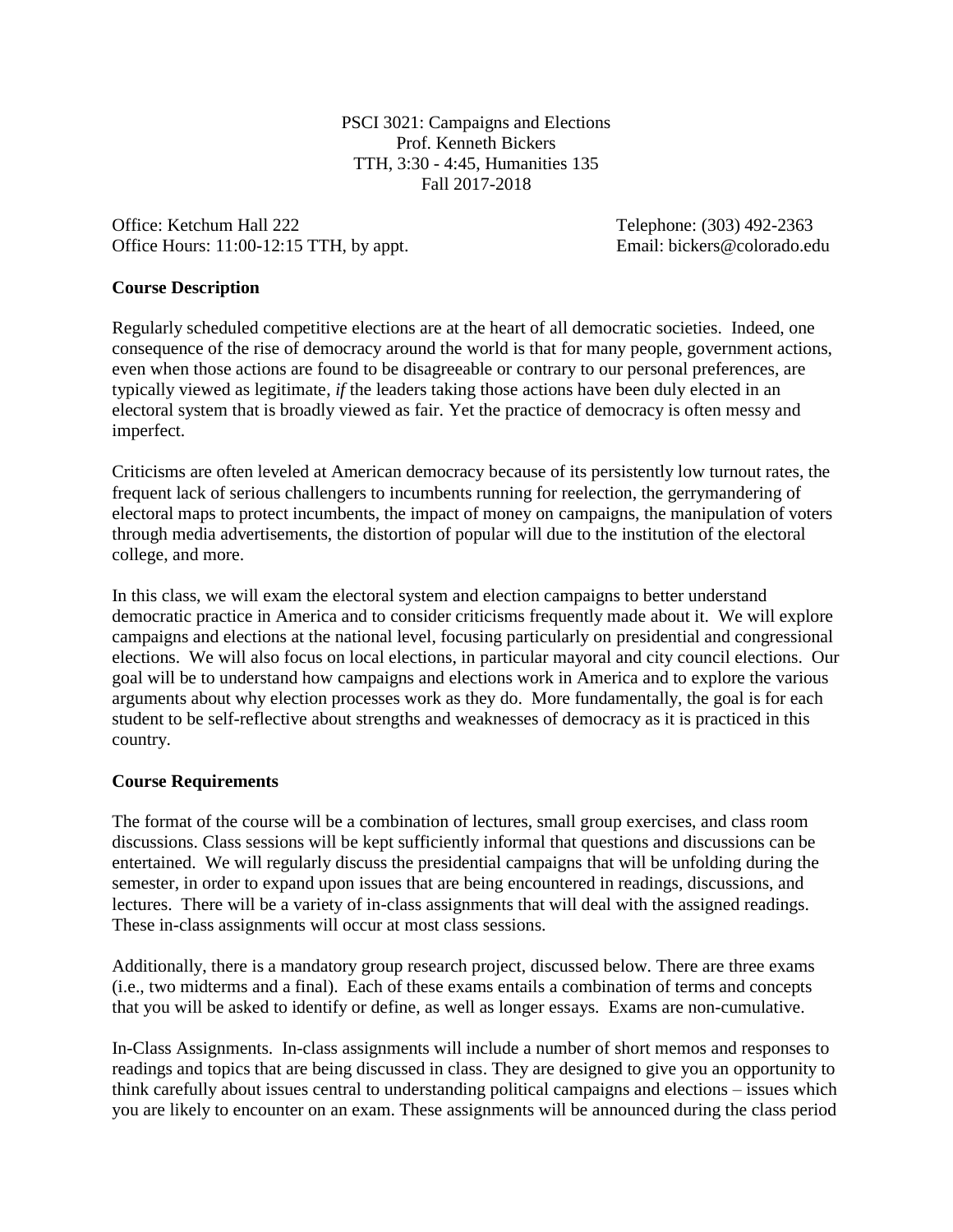PSCI 3021: Campaigns and Elections Prof. Kenneth Bickers TTH, 3:30 - 4:45, Humanities 135 Fall 2017-2018

Office: Ketchum Hall 222 Telephone: (303) 492-2363 Office Hours: 11:00-12:15 TTH, by appt. Email: bickers@colorado.edu

### **Course Description**

Regularly scheduled competitive elections are at the heart of all democratic societies. Indeed, one consequence of the rise of democracy around the world is that for many people, government actions, even when those actions are found to be disagreeable or contrary to our personal preferences, are typically viewed as legitimate, *if* the leaders taking those actions have been duly elected in an electoral system that is broadly viewed as fair. Yet the practice of democracy is often messy and imperfect.

Criticisms are often leveled at American democracy because of its persistently low turnout rates, the frequent lack of serious challengers to incumbents running for reelection, the gerrymandering of electoral maps to protect incumbents, the impact of money on campaigns, the manipulation of voters through media advertisements, the distortion of popular will due to the institution of the electoral college, and more.

In this class, we will exam the electoral system and election campaigns to better understand democratic practice in America and to consider criticisms frequently made about it. We will explore campaigns and elections at the national level, focusing particularly on presidential and congressional elections. We will also focus on local elections, in particular mayoral and city council elections. Our goal will be to understand how campaigns and elections work in America and to explore the various arguments about why election processes work as they do. More fundamentally, the goal is for each student to be self-reflective about strengths and weaknesses of democracy as it is practiced in this country.

#### **Course Requirements**

The format of the course will be a combination of lectures, small group exercises, and class room discussions. Class sessions will be kept sufficiently informal that questions and discussions can be entertained. We will regularly discuss the presidential campaigns that will be unfolding during the semester, in order to expand upon issues that are being encountered in readings, discussions, and lectures. There will be a variety of in-class assignments that will deal with the assigned readings. These in-class assignments will occur at most class sessions.

Additionally, there is a mandatory group research project, discussed below. There are three exams (i.e., two midterms and a final). Each of these exams entails a combination of terms and concepts that you will be asked to identify or define, as well as longer essays. Exams are non-cumulative.

In-Class Assignments. In-class assignments will include a number of short memos and responses to readings and topics that are being discussed in class. They are designed to give you an opportunity to think carefully about issues central to understanding political campaigns and elections – issues which you are likely to encounter on an exam. These assignments will be announced during the class period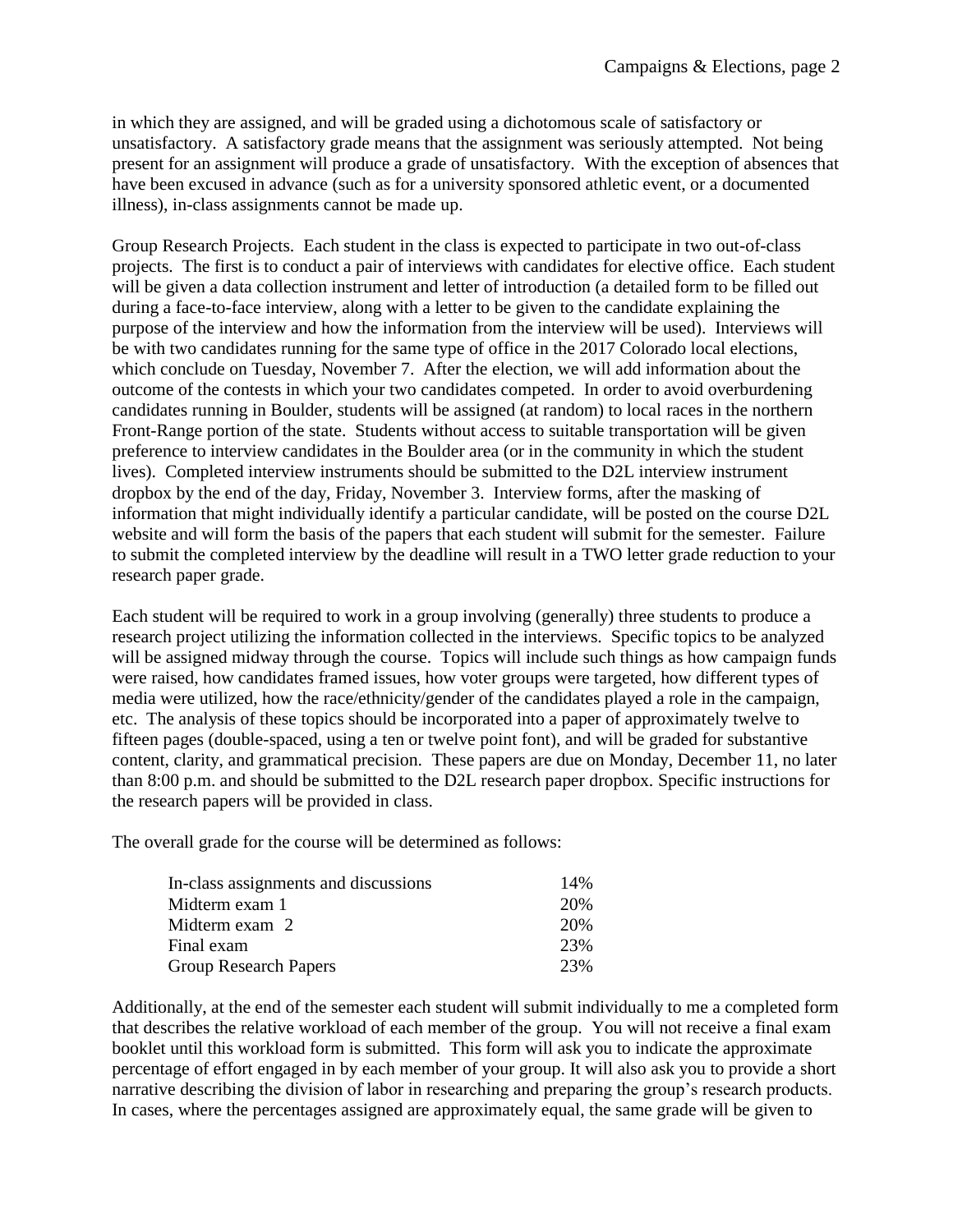in which they are assigned, and will be graded using a dichotomous scale of satisfactory or unsatisfactory. A satisfactory grade means that the assignment was seriously attempted. Not being present for an assignment will produce a grade of unsatisfactory. With the exception of absences that have been excused in advance (such as for a university sponsored athletic event, or a documented illness), in-class assignments cannot be made up.

Group Research Projects. Each student in the class is expected to participate in two out-of-class projects. The first is to conduct a pair of interviews with candidates for elective office. Each student will be given a data collection instrument and letter of introduction (a detailed form to be filled out during a face-to-face interview, along with a letter to be given to the candidate explaining the purpose of the interview and how the information from the interview will be used). Interviews will be with two candidates running for the same type of office in the 2017 Colorado local elections, which conclude on Tuesday, November 7. After the election, we will add information about the outcome of the contests in which your two candidates competed. In order to avoid overburdening candidates running in Boulder, students will be assigned (at random) to local races in the northern Front-Range portion of the state. Students without access to suitable transportation will be given preference to interview candidates in the Boulder area (or in the community in which the student lives). Completed interview instruments should be submitted to the D2L interview instrument dropbox by the end of the day, Friday, November 3. Interview forms, after the masking of information that might individually identify a particular candidate, will be posted on the course D2L website and will form the basis of the papers that each student will submit for the semester. Failure to submit the completed interview by the deadline will result in a TWO letter grade reduction to your research paper grade.

Each student will be required to work in a group involving (generally) three students to produce a research project utilizing the information collected in the interviews. Specific topics to be analyzed will be assigned midway through the course. Topics will include such things as how campaign funds were raised, how candidates framed issues, how voter groups were targeted, how different types of media were utilized, how the race/ethnicity/gender of the candidates played a role in the campaign, etc. The analysis of these topics should be incorporated into a paper of approximately twelve to fifteen pages (double-spaced, using a ten or twelve point font), and will be graded for substantive content, clarity, and grammatical precision. These papers are due on Monday, December 11, no later than 8:00 p.m. and should be submitted to the D2L research paper dropbox. Specific instructions for the research papers will be provided in class.

The overall grade for the course will be determined as follows:

| In-class assignments and discussions | 14% |
|--------------------------------------|-----|
| Midterm exam 1                       | 20% |
| Midterm exam 2                       | 20% |
| Final exam                           | 23% |
| <b>Group Research Papers</b>         | 23% |

Additionally, at the end of the semester each student will submit individually to me a completed form that describes the relative workload of each member of the group. You will not receive a final exam booklet until this workload form is submitted. This form will ask you to indicate the approximate percentage of effort engaged in by each member of your group. It will also ask you to provide a short narrative describing the division of labor in researching and preparing the group's research products. In cases, where the percentages assigned are approximately equal, the same grade will be given to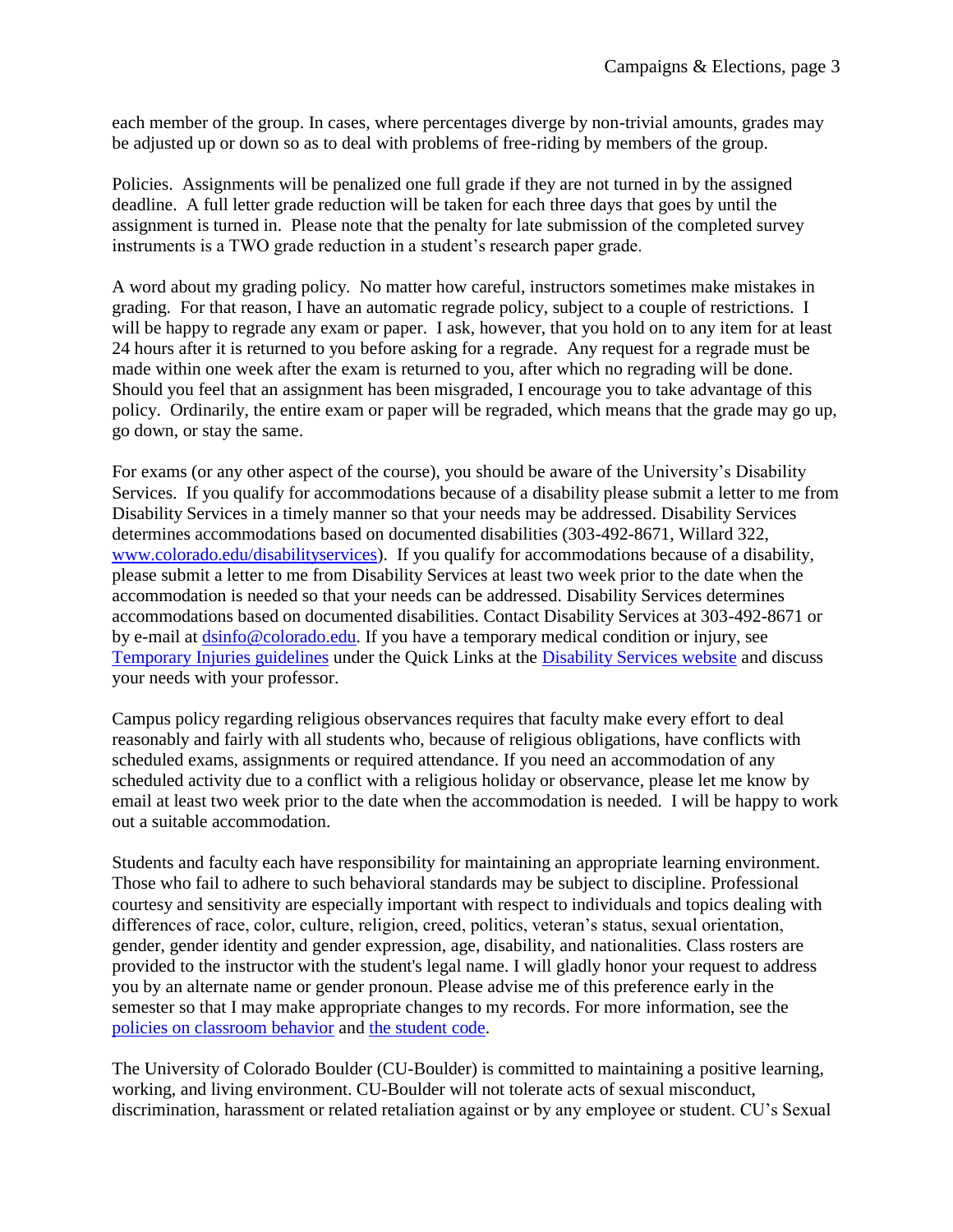each member of the group. In cases, where percentages diverge by non-trivial amounts, grades may be adjusted up or down so as to deal with problems of free-riding by members of the group.

Policies. Assignments will be penalized one full grade if they are not turned in by the assigned deadline. A full letter grade reduction will be taken for each three days that goes by until the assignment is turned in. Please note that the penalty for late submission of the completed survey instruments is a TWO grade reduction in a student's research paper grade.

A word about my grading policy. No matter how careful, instructors sometimes make mistakes in grading. For that reason, I have an automatic regrade policy, subject to a couple of restrictions. I will be happy to regrade any exam or paper. I ask, however, that you hold on to any item for at least 24 hours after it is returned to you before asking for a regrade. Any request for a regrade must be made within one week after the exam is returned to you, after which no regrading will be done. Should you feel that an assignment has been misgraded, I encourage you to take advantage of this policy. Ordinarily, the entire exam or paper will be regraded, which means that the grade may go up, go down, or stay the same.

For exams (or any other aspect of the course), you should be aware of the University's Disability Services. If you qualify for accommodations because of a disability please submit a letter to me from Disability Services in a timely manner so that your needs may be addressed. Disability Services determines accommodations based on documented disabilities (303-492-8671, Willard 322, [www.colorado.edu/disabilityservices\)](http://www.colorado.edu/disabilityservices/). If you qualify for accommodations because of a disability, please submit a letter to me from Disability Services at least two week prior to the date when the accommodation is needed so that your needs can be addressed. Disability Services determines accommodations based on documented disabilities. Contact Disability Services at 303-492-8671 or by e-mail at [dsinfo@colorado.edu.](mailto:dsinfo@colorado.edu) If you have a temporary medical condition or injury, see [Temporary Injuries guidelines](http://www.alumniconnections.com/links/link.cgi?l=6835148&h=136804&e=UCBI-20151203180101) under the Quick Links at the [Disability Services website](http://www.alumniconnections.com/links/link.cgi?l=6835149&h=136804&e=UCBI-20151203180101) and discuss your needs with your professor.

Campus policy regarding religious observances requires that faculty make every effort to deal reasonably and fairly with all students who, because of religious obligations, have conflicts with scheduled exams, assignments or required attendance. If you need an accommodation of any scheduled activity due to a conflict with a religious holiday or observance, please let me know by email at least two week prior to the date when the accommodation is needed. I will be happy to work out a suitable accommodation.

Students and faculty each have responsibility for maintaining an appropriate learning environment. Those who fail to adhere to such behavioral standards may be subject to discipline. Professional courtesy and sensitivity are especially important with respect to individuals and topics dealing with differences of race, color, culture, religion, creed, politics, veteran's status, sexual orientation, gender, gender identity and gender expression, age, disability, and nationalities. Class rosters are provided to the instructor with the student's legal name. I will gladly honor your request to address you by an alternate name or gender pronoun. Please advise me of this preference early in the semester so that I may make appropriate changes to my records. For more information, see the [policies on classroom behavior](http://www.alumniconnections.com/links/link.cgi?l=6835155&h=136804&e=UCBI-20151203180101) and [the student code.](http://www.alumniconnections.com/links/link.cgi?l=6835156&h=136804&e=UCBI-20151203180101)

The University of Colorado Boulder (CU-Boulder) is committed to maintaining a positive learning, working, and living environment. CU-Boulder will not tolerate acts of sexual misconduct, discrimination, harassment or related retaliation against or by any employee or student. CU's Sexual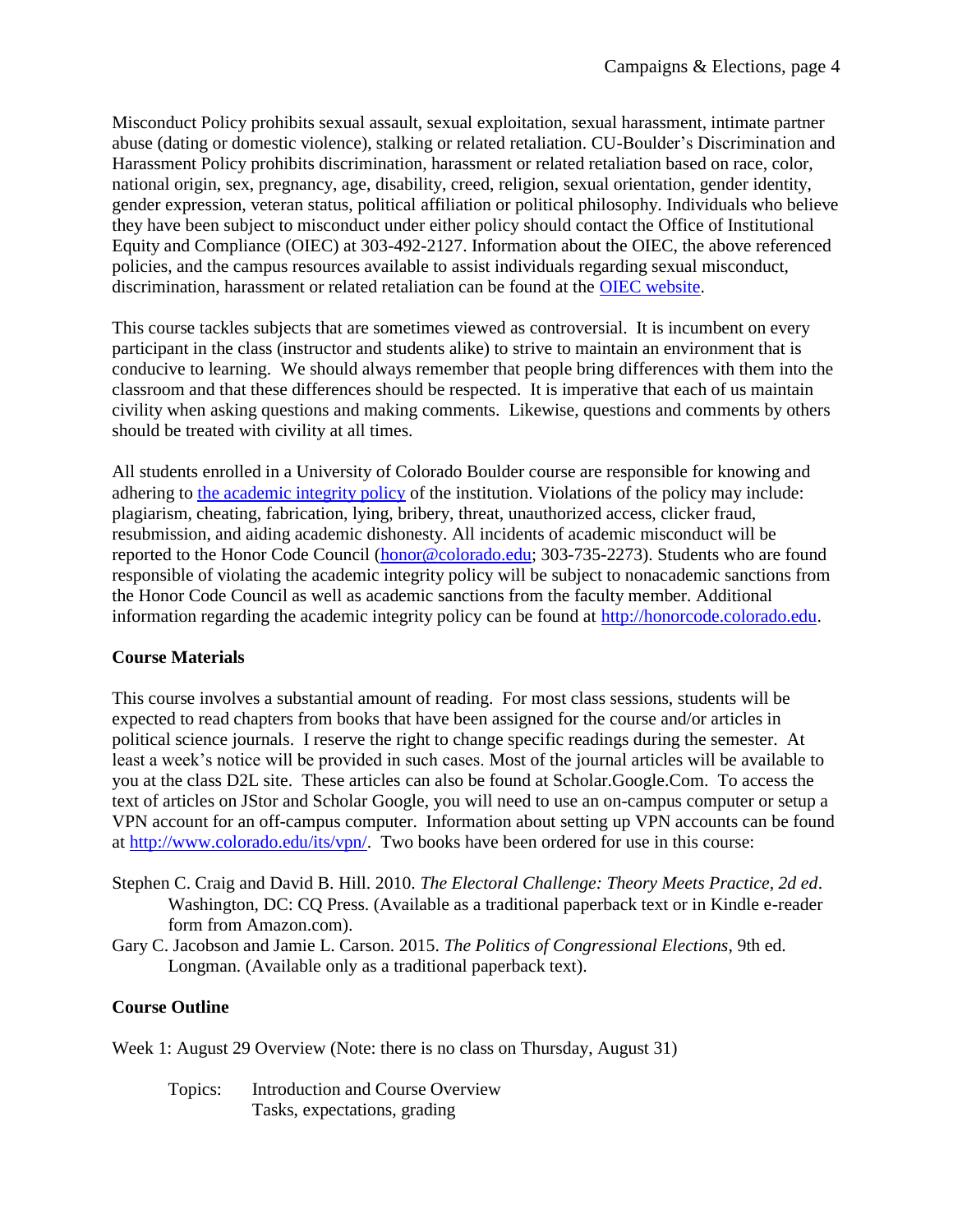Misconduct Policy prohibits sexual assault, sexual exploitation, sexual harassment, intimate partner abuse (dating or domestic violence), stalking or related retaliation. CU-Boulder's Discrimination and Harassment Policy prohibits discrimination, harassment or related retaliation based on race, color, national origin, sex, pregnancy, age, disability, creed, religion, sexual orientation, gender identity, gender expression, veteran status, political affiliation or political philosophy. Individuals who believe they have been subject to misconduct under either policy should contact the Office of Institutional Equity and Compliance (OIEC) at 303-492-2127. Information about the OIEC, the above referenced policies, and the campus resources available to assist individuals regarding sexual misconduct, discrimination, harassment or related retaliation can be found at the [OIEC website.](http://www.alumniconnections.com/links/link.cgi?l=6835157&h=136804&e=UCBI-20151203180101)

This course tackles subjects that are sometimes viewed as controversial. It is incumbent on every participant in the class (instructor and students alike) to strive to maintain an environment that is conducive to learning. We should always remember that people bring differences with them into the classroom and that these differences should be respected. It is imperative that each of us maintain civility when asking questions and making comments. Likewise, questions and comments by others should be treated with civility at all times.

All students enrolled in a University of Colorado Boulder course are responsible for knowing and adhering to [the academic integrity policy](http://www.alumniconnections.com/links/link.cgi?l=6835160&h=136804&e=UCBI-20151203180101) of the institution. Violations of the policy may include: plagiarism, cheating, fabrication, lying, bribery, threat, unauthorized access, clicker fraud, resubmission, and aiding academic dishonesty. All incidents of academic misconduct will be reported to the Honor Code Council [\(honor@colorado.edu;](mailto:honor@colorado.edu) 303-735-2273). Students who are found responsible of violating the academic integrity policy will be subject to nonacademic sanctions from the Honor Code Council as well as academic sanctions from the faculty member. Additional information regarding the academic integrity policy can be found at [http://honorcode.colorado.edu.](http://www.alumniconnections.com/links/link.cgi?l=6835161&h=136804&e=UCBI-20151203180101)

# **Course Materials**

This course involves a substantial amount of reading. For most class sessions, students will be expected to read chapters from books that have been assigned for the course and/or articles in political science journals. I reserve the right to change specific readings during the semester. At least a week's notice will be provided in such cases. Most of the journal articles will be available to you at the class D2L site. These articles can also be found at Scholar.Google.Com. To access the text of articles on JStor and Scholar Google, you will need to use an on-campus computer or setup a VPN account for an off-campus computer. Information about setting up VPN accounts can be found at [http://www.colorado.edu/its/vpn/.](http://www.colorado.edu/its/vpn/) Two books have been ordered for use in this course:

- Stephen C. Craig and David B. Hill. 2010. *The Electoral Challenge: Theory Meets Practice, 2d ed*. Washington, DC: CQ Press. (Available as a traditional paperback text or in Kindle e-reader form from Amazon.com).
- Gary C. Jacobson and Jamie L. Carson. 2015. *The Politics of Congressional Elections*, 9th ed. Longman. (Available only as a traditional paperback text).

# **Course Outline**

Week 1: August 29 Overview (Note: there is no class on Thursday, August 31)

Topics: Introduction and Course Overview Tasks, expectations, grading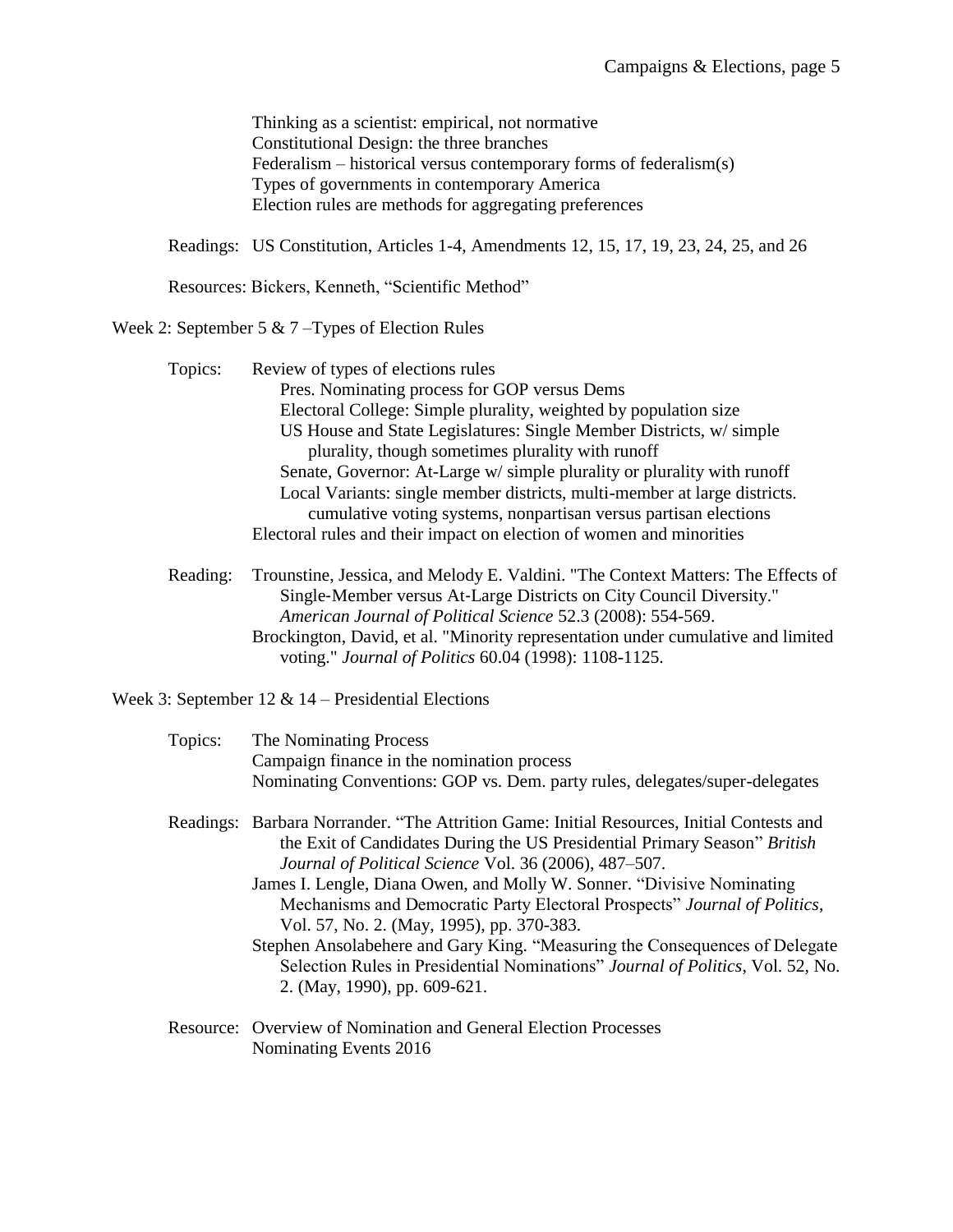Thinking as a scientist: empirical, not normative Constitutional Design: the three branches Federalism – historical versus contemporary forms of federalism(s) Types of governments in contemporary America Election rules are methods for aggregating preferences

Readings: [US Constitution, Articles 1-4, Amendments 12, 15, 17, 19, 23, 24, 25, and 26](http://topics.law.cornell.edu/constitution)

Resources: Bickers, Kenneth, ["Scientific Method"](file:///C:/Users/Home%20Computer%20-%20Ken/Application%20Data/Microsoft/Excel/Scientific%20Method.pdf)

Week 2: September 5 & 7 –Types of Election Rules

| Topics: | Review of types of elections rules                                        |
|---------|---------------------------------------------------------------------------|
|         | Pres. Nominating process for GOP versus Dems                              |
|         | Electoral College: Simple plurality, weighted by population size          |
|         | US House and State Legislatures: Single Member Districts, w/simple        |
|         | plurality, though sometimes plurality with runoff                         |
|         | Senate, Governor: At-Large w/ simple plurality or plurality with runoff   |
|         | Local Variants: single member districts, multi-member at large districts. |
|         | cumulative voting systems, nonpartisan versus partisan elections          |
|         | Electoral rules and their impact on election of women and minorities      |
|         |                                                                           |

Reading: Trounstine, Jessica, and Melody E. Valdini. "The Context Matters: The Effects of Single‐Member versus At‐Large Districts on City Council Diversity." *American Journal of Political Science* 52.3 (2008): 554-569. Brockington, David, et al. "Minority representation under cumulative and limited voting." *Journal of Politics* 60.04 (1998): 1108-1125.

Week 3: September 12 & 14 – Presidential Elections

| Topics: | The Nominating Process<br>Campaign finance in the nomination process                                                                                                                                                                                                                                                                                                                                                                                                                                                                                                                                                                  |
|---------|---------------------------------------------------------------------------------------------------------------------------------------------------------------------------------------------------------------------------------------------------------------------------------------------------------------------------------------------------------------------------------------------------------------------------------------------------------------------------------------------------------------------------------------------------------------------------------------------------------------------------------------|
|         | Nominating Conventions: GOP vs. Dem. party rules, delegates/super-delegates                                                                                                                                                                                                                                                                                                                                                                                                                                                                                                                                                           |
|         | Readings: Barbara Norrander. "The Attrition Game: Initial Resources, Initial Contests and<br>the Exit of Candidates During the US Presidential Primary Season" British<br>Journal of Political Science Vol. 36 (2006), 487–507.<br>James I. Lengle, Diana Owen, and Molly W. Sonner. "Divisive Nominating"<br>Mechanisms and Democratic Party Electoral Prospects" Journal of Politics,<br>Vol. 57, No. 2. (May, 1995), pp. 370-383.<br>Stephen Ansolabehere and Gary King. "Measuring the Consequences of Delegate<br>Selection Rules in Presidential Nominations" Journal of Politics, Vol. 52, No.<br>2. (May, 1990), pp. 609-621. |
|         | Resource: Overview of Nomination and General Election Processes                                                                                                                                                                                                                                                                                                                                                                                                                                                                                                                                                                       |

Resource: [Overview of Nomination and General Election Processes](file:///C:/Users/Home%20Computer%20-%20Ken/Documents/FILES/Campaigns%20&%20Elections/Nominating%20versus%20General%20Election%20Process.pdf) [Nominating Events 2016](file:///C:/Users/Home%20Computer%20-%20Ken/Documents/FILES/Campaigns%20&%20Elections/Nominating%20Events%202008.doc)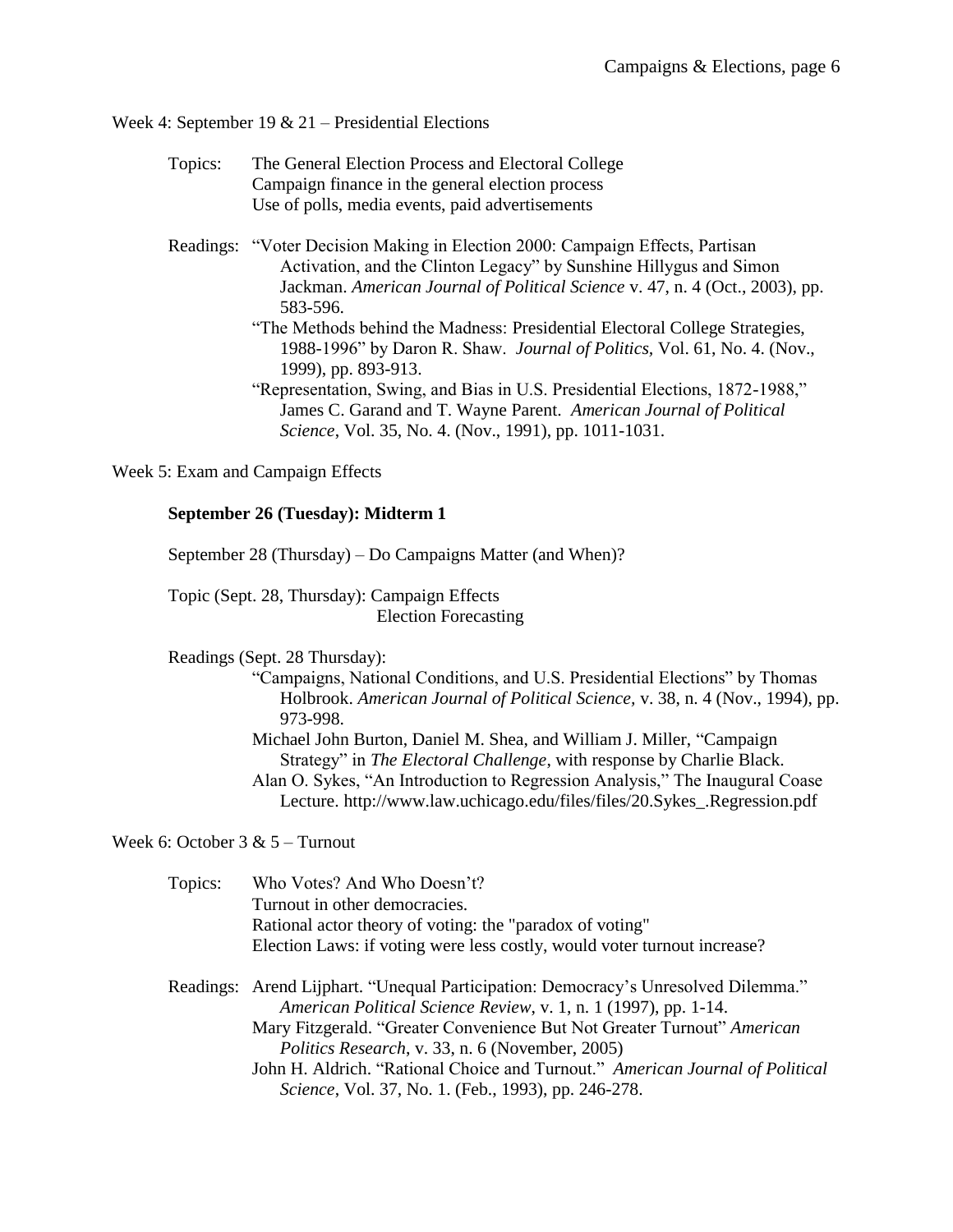Week 4: September 19 & 21 – Presidential Elections

- Topics: The General Election Process and Electoral College Campaign finance in the general election process Use of polls, media events, paid advertisements
- Readings: "Voter Decision Making in Election 2000: Campaign Effects, Partisan Activation, and the Clinton Legacy" by Sunshine Hillygus and Simon Jackman. *American Journal of Political Science* v. 47, n. 4 (Oct., 2003), pp. 583-596.
	- "The Methods behind the Madness: Presidential Electoral College Strategies, 1988-1996" by Daron R. Shaw. *Journal of Politics,* Vol. 61, No. 4. (Nov., 1999), pp. 893-913.
	- "Representation, Swing, and Bias in U.S. Presidential Elections, 1872-1988," James C. Garand and T. Wayne Parent. *American Journal of Political Science*, Vol. 35, No. 4. (Nov., 1991), pp. 1011-1031.

Week 5: Exam and Campaign Effects

## **September 26 (Tuesday): Midterm 1**

September 28 (Thursday) – Do Campaigns Matter (and When)?

Topic (Sept. 28, Thursday): Campaign Effects Election Forecasting

Readings (Sept. 28 Thursday):

"Campaigns, National Conditions, and U.S. Presidential Elections" by Thomas Holbrook. *American Journal of Political Science,* v. 38, n. 4 (Nov., 1994), pp. 973-998.

Michael John Burton, Daniel M. Shea, and William J. Miller, "Campaign Strategy" in *The Electoral Challenge*, with response by Charlie Black. Alan O. Sykes, "An Introduction to Regression Analysis," The Inaugural Coase Lecture. http://www.law.uchicago.edu/files/files/20.Sykes\_.Regression.pdf

Week 6: October 3 & 5 – Turnout

Topics: Who Votes? And Who Doesn't? Turnout in other democracies. Rational actor theory of voting: the "paradox of voting" Election Laws: if voting were less costly, would voter turnout increase?

Readings: Arend Lijphart. "Unequal Participation: Democracy's Unresolved Dilemma." *American Political Science Review*, v. 1, n. 1 (1997), pp. 1-14. Mary Fitzgerald. ["Greater Convenience But Not Greater Turnout"](file:///C:/Users/Home%20Computer%20-%20Ken/Documents/FILES/Campaigns%20&%20Elections/Fitzgerald,%20convenience%20not%20turnout%20(2005).pdf) *American Politics Research*[, v. 33, n. 6 \(November, 2005\)](file:///C:/Users/Home%20Computer%20-%20Ken/Documents/FILES/Campaigns%20&%20Elections/Fitzgerald,%20convenience%20not%20turnout%20(2005).pdf) John H. Aldrich. "Rational Choice and Turnout." *American Journal of Political Science*, Vol. 37, No. 1. (Feb., 1993), pp. 246-278.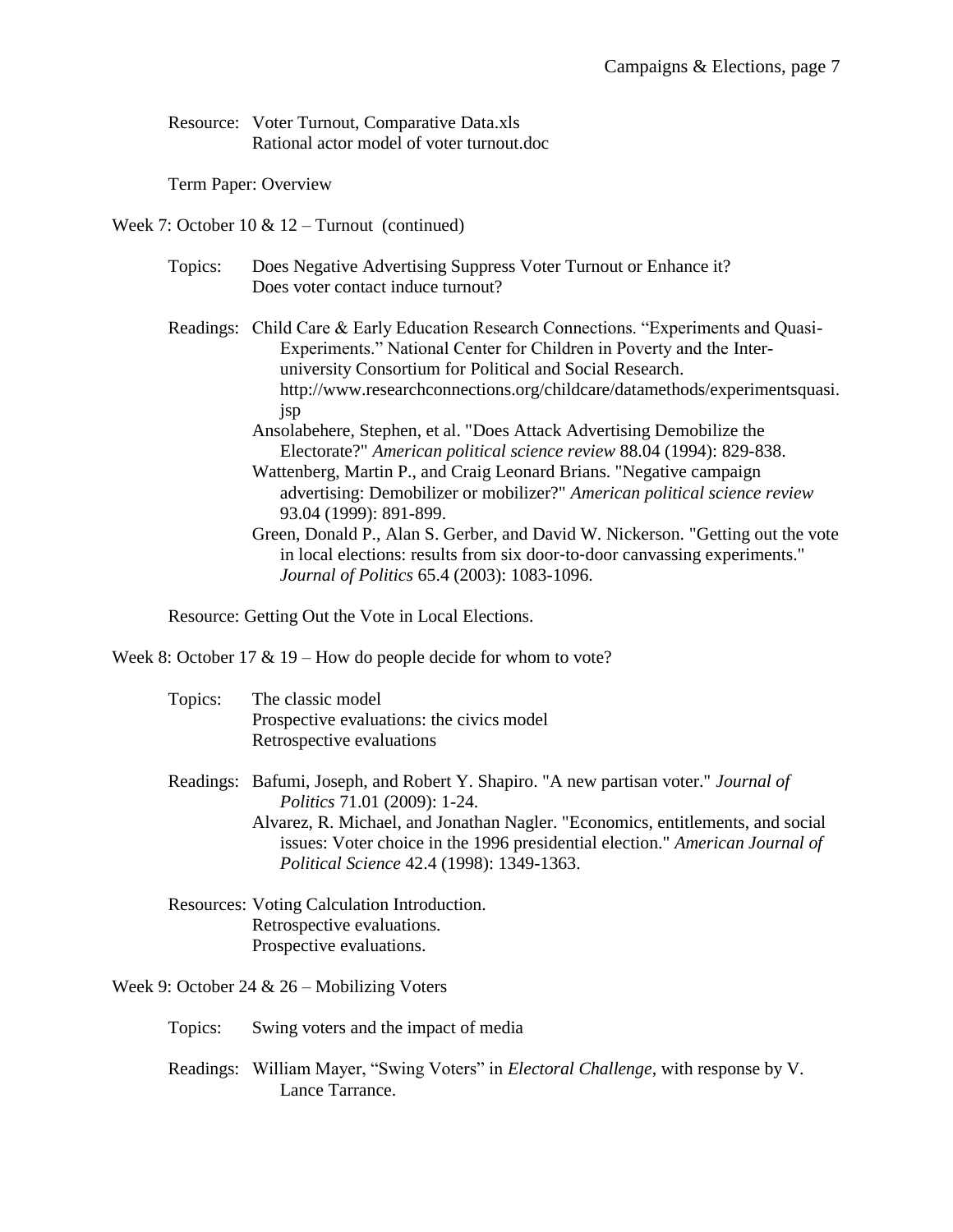Resource: [Voter Turnout, Comparative Data.xls](file:///C:/Users/Home%20Computer%20-%20Ken/Documents/FILES/Campaigns%20&%20Elections/Voter%20Turnout,%20Comparative%20Data.xls) [Rational actor model of voter turnout.doc](file:///C:/Users/Home%20Computer%20-%20Ken/Documents/FILES/Campaigns%20&%20Elections/Rational%20actor%20model%20of%20voter%20turnout.doc)

Term Paper: Overview

Week 7: October 10 & 12 – Turnout (continued)

Topics: Does Negative Advertising Suppress Voter Turnout or Enhance it? Does voter contact induce turnout?

Readings: Child Care & Early Education Research Connections. "Experiments and Quasi-Experiments." National Center for Children in Poverty and the Interuniversity Consortium for Political and Social Research. http://www.researchconnections.org/childcare/datamethods/experimentsquasi. jsp

- Ansolabehere, Stephen, et al. "Does Attack Advertising Demobilize the Electorate?" *American political science review* 88.04 (1994): 829-838.
- Wattenberg, Martin P., and Craig Leonard Brians. "Negative campaign advertising: Demobilizer or mobilizer?" *American political science review* 93.04 (1999): 891-899.
- Green, Donald P., Alan S. Gerber, and David W. Nickerson. "Getting out the vote in local elections: results from six door-to-door canvassing experiments." *Journal of Politics* 65.4 (2003): 1083-1096.

Resource: [Getting Out the Vote in Local Elections.](file:///C:/Users/Home%20Computer%20-%20Ken/Documents/FILES/Campaigns%20&%20Elections/Getting%20Out%20the%20Vote%20in%20Local%20Elections.pdf)

Week 8: October 17 & 19 – How do people decide for whom to vote?

| Topics: | The classic model                         |
|---------|-------------------------------------------|
|         | Prospective evaluations: the civics model |
|         | Retrospective evaluations                 |

- Readings: Bafumi, Joseph, and Robert Y. Shapiro. "A new partisan voter." *Journal of Politics* 71.01 (2009): 1-24.
	- Alvarez, R. Michael, and Jonathan Nagler. "Economics, entitlements, and social issues: Voter choice in the 1996 presidential election." *American Journal of Political Science* 42.4 (1998): 1349-1363.
- Resources: Voting Calculation Introduction. Retrospective evaluations. Prospective evaluations.

Week 9: October 24 & 26 – Mobilizing Voters

- Topics: Swing voters and the impact of media
- Readings: William Mayer, "Swing Voters" in *Electoral Challenge*, with response by V. Lance Tarrance.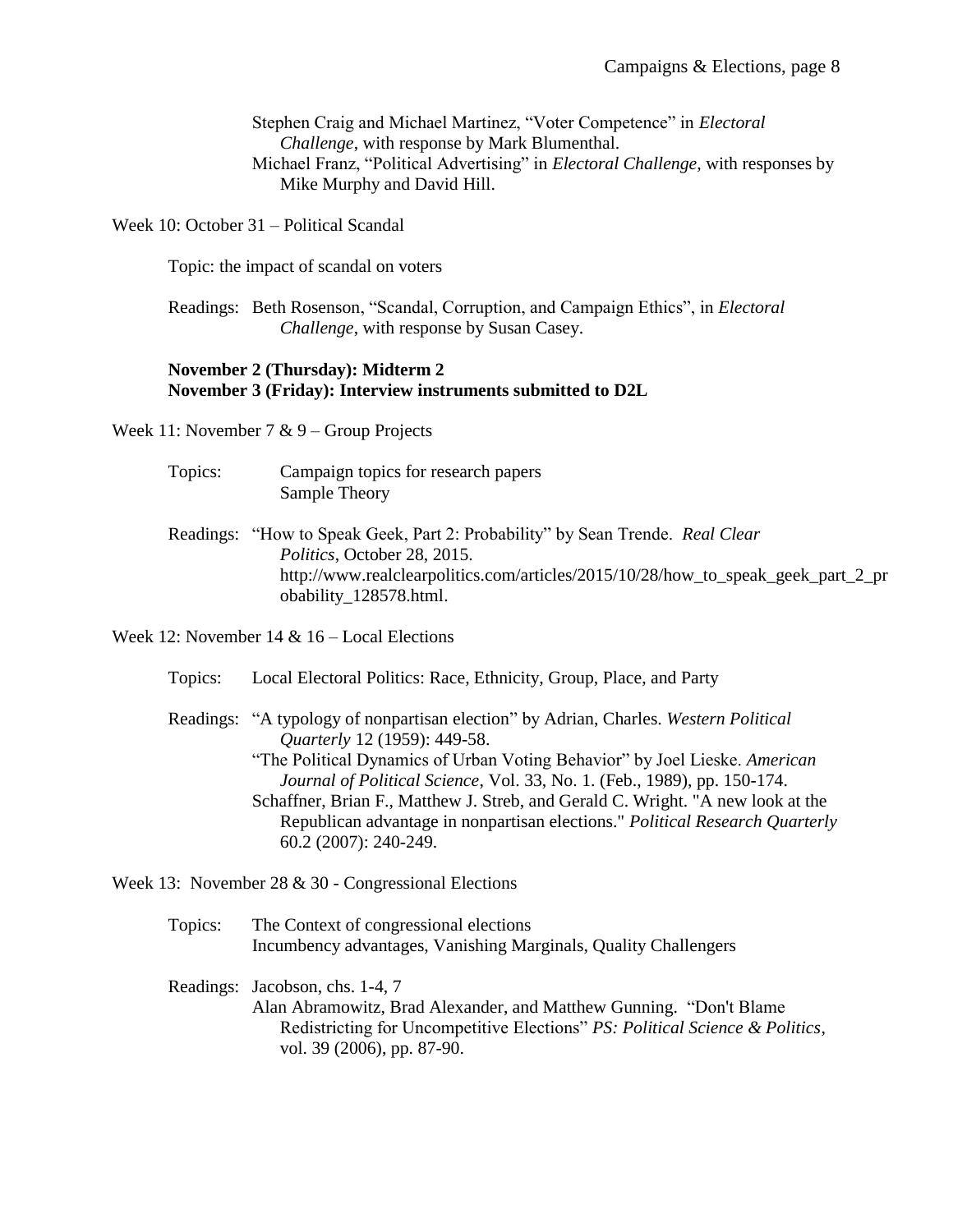Stephen Craig and Michael Martinez, "Voter Competence" in *Electoral Challenge*, with response by Mark Blumenthal. Michael Franz, "Political Advertising" in *Electoral Challenge,* with responses by Mike Murphy and David Hill.

Week 10: October 31 – Political Scandal

Topic: the impact of scandal on voters

Readings: Beth Rosenson, "Scandal, Corruption, and Campaign Ethics", in *Electoral Challenge*, with response by Susan Casey.

## **November 2 (Thursday): Midterm 2 November 3 (Friday): Interview instruments submitted to D2L**

Week 11: November 7 & 9 – Group Projects

- Topics: Campaign topics for research papers Sample Theory
- Readings: "How to Speak Geek, Part 2: Probability" by Sean Trende. *Real Clear Politics*, October 28, 2015. http://www.realclearpolitics.com/articles/2015/10/28/how to speak geek part 2 pr [obability\\_128578.html.](http://www.realclearpolitics.com/articles/2015/10/28/how_to_speak_geek_part_2_probability_128578.html)

Week 12: November 14 & 16 – Local Elections

- Topics: Local Electoral Politics: Race, Ethnicity, Group, Place, and Party
- Readings: "A typology of nonpartisan election" by Adrian, Charles. *Western Political Quarterly* 12 (1959): 449-58. "The Political Dynamics of Urban Voting Behavior" by Joel Lieske. *American Journal of Political Science*, Vol. 33, No. 1. (Feb., 1989), pp. 150-174. Schaffner, Brian F., Matthew J. Streb, and Gerald C. Wright. "A new look at the Republican advantage in nonpartisan elections." *Political Research Quarterly* 60.2 (2007): 240-249.

Week 13: November 28 & 30 - Congressional Elections

- Topics: The Context of congressional elections Incumbency advantages, Vanishing Marginals, Quality Challengers
- Readings: Jacobson, chs. 1-4, 7 Alan Abramowitz, Brad Alexander, and Matthew Gunning. "Don't Blame Redistricting for Uncompetitive Elections" *PS: Political Science & Politics*, vol. 39 (2006), pp. 87-90.